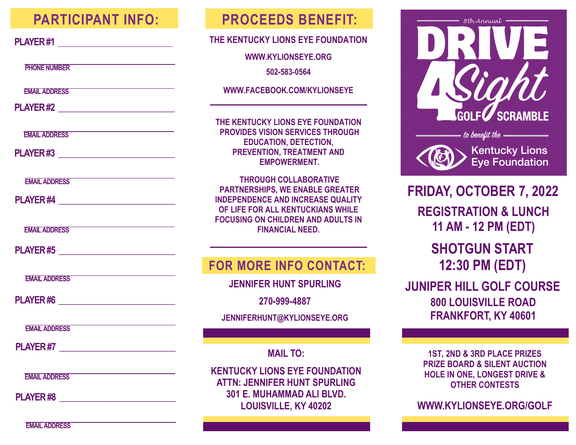## **PARTICIPANT INFO:**

| v<br>$\overline{\phantom{a}}$<br>٠ |
|------------------------------------|
|------------------------------------|

**PHONE NUMBER** 

**EMAIL ADDRESS**

**PLAYER #2 \_\_\_\_\_\_\_\_\_\_\_\_\_\_\_\_\_\_\_\_\_\_\_\_\_\_\_\_**

**EMAIL ADDRESS**

**PLAYER #3 \_\_\_\_\_\_\_\_\_\_\_\_\_\_\_\_\_\_\_\_\_\_\_\_\_\_\_\_**

**EMAIL ADDRESS**

**PLAYER #4 \_\_\_\_\_\_\_\_\_\_\_\_\_\_\_\_\_\_\_\_\_\_\_\_\_\_\_\_**

**EMAIL ADDRESS**

**PLAYER #5 \_\_\_\_\_\_\_\_\_\_\_\_\_\_\_\_\_\_\_\_\_\_\_\_\_\_\_\_\_\_\_\_** 

**EMAIL ADDRESS**

**PLAYER #6 \_\_\_\_\_\_\_\_\_\_\_\_\_\_\_\_\_\_\_\_\_\_\_\_\_\_\_\_**

**EMAIL ADDRESS**

**PLAYER #7** *PLAYER #7* 

**EMAIL ADDRESS**

**PLAYER #8 \_\_\_\_\_\_\_\_\_\_\_\_\_\_\_\_\_\_\_\_\_\_\_\_\_\_\_\_**

## **PROCEEDS BENEFIT:**

#### **THE KENTUCKY LIONS EYE FOUNDATION**

**WWW.KYLIONSEYE.ORG** 

**502-583-0564**

**WWW.FACEBOOK.COM/KYLIONSEYE**

**THE KENTUCKY LIONS EYE FOUNDATION PROVIDES VISION SERVICES THROUGH EDUCATION, DETECTION, PREVENTION, TREATMENT AND EMPOWERMENT.** 

**THROUGH COLLABORATIVE PARTNERSHIPS, WE ENABLE GREATER INDEPENDENCE AND INCREASE QUALITY OF LIFE FOR ALL KENTUCKIANS WHILE FOCUSING ON CHILDREN AND ADULTS IN FINANCIAL NEED.** 

### **FOR MORE INFO CONTACT:**

**JENNIFER HUNT SPURLING**

**270-999-4887**

**JENNIFERHUNT@KYLIONSEYE.ORG**

**MAIL TO:** 

**KENTUCKY LIONS EYE FOUNDATION ATTN: JENNIFER HUNT SPURLING 301 E. MUHAMMAD ALI BLVD. LOUISVILLE, KY 40202**



**FRIDAY, OCTOBER 7, 2022 REGISTRATION & LUNCH 11 AM - 12 PM (EDT) SHOTGUN START** 

**12:30 PM (EDT)**

**JUNIPER HILL GOLF COURSE 800 LOUISVILLE ROAD FRANKFORT, KY 40601**

> **1ST, 2ND & 3RD PLACE PRIZES PRIZE BOARD & SILENT AUCTION HOLE IN ONE, LONGEST DRIVE & OTHER CONTESTS**

**WWW.KYLIONSEYE.ORG/GOLF**

**EMAIL ADDRESS**